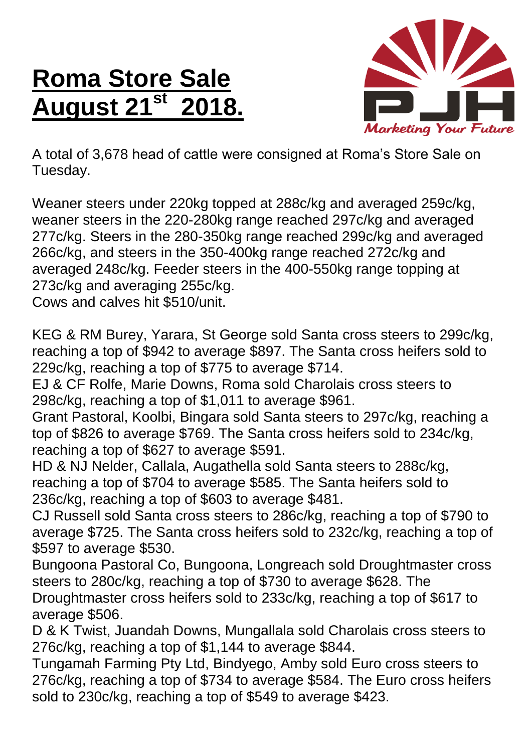## **Roma Store Sale August 21st 2018.**



A total of 3,678 head of cattle were consigned at Roma's Store Sale on Tuesday.

Weaner steers under 220kg topped at 288c/kg and averaged 259c/kg, weaner steers in the 220-280kg range reached 297c/kg and averaged 277c/kg. Steers in the 280-350kg range reached 299c/kg and averaged 266c/kg, and steers in the 350-400kg range reached 272c/kg and averaged 248c/kg. Feeder steers in the 400-550kg range topping at 273c/kg and averaging 255c/kg.

Cows and calves hit \$510/unit.

KEG & RM Burey, Yarara, St George sold Santa cross steers to 299c/kg, reaching a top of \$942 to average \$897. The Santa cross heifers sold to 229c/kg, reaching a top of \$775 to average \$714.

EJ & CF Rolfe, Marie Downs, Roma sold Charolais cross steers to 298c/kg, reaching a top of \$1,011 to average \$961.

Grant Pastoral, Koolbi, Bingara sold Santa steers to 297c/kg, reaching a top of \$826 to average \$769. The Santa cross heifers sold to 234c/kg, reaching a top of \$627 to average \$591.

HD & NJ Nelder, Callala, Augathella sold Santa steers to 288c/kg, reaching a top of \$704 to average \$585. The Santa heifers sold to 236c/kg, reaching a top of \$603 to average \$481.

CJ Russell sold Santa cross steers to 286c/kg, reaching a top of \$790 to average \$725. The Santa cross heifers sold to 232c/kg, reaching a top of \$597 to average \$530.

Bungoona Pastoral Co, Bungoona, Longreach sold Droughtmaster cross steers to 280c/kg, reaching a top of \$730 to average \$628. The Droughtmaster cross heifers sold to 233c/kg, reaching a top of \$617 to average \$506.

D & K Twist, Juandah Downs, Mungallala sold Charolais cross steers to 276c/kg, reaching a top of \$1,144 to average \$844.

Tungamah Farming Pty Ltd, Bindyego, Amby sold Euro cross steers to 276c/kg, reaching a top of \$734 to average \$584. The Euro cross heifers sold to 230c/kg, reaching a top of \$549 to average \$423.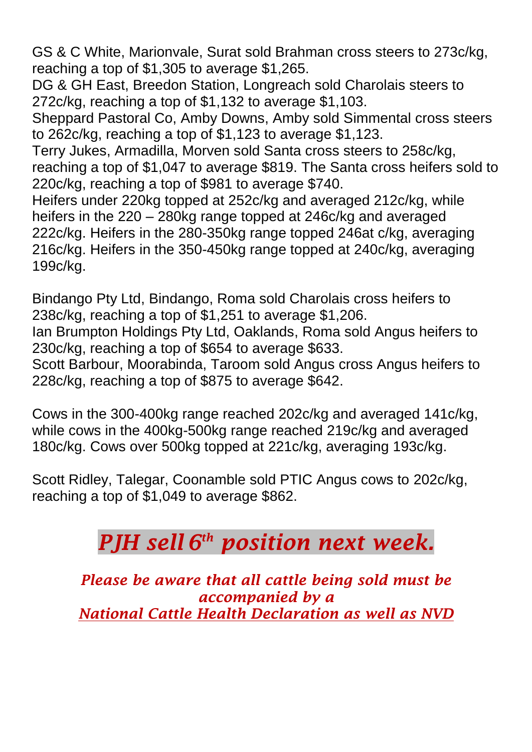GS & C White, Marionvale, Surat sold Brahman cross steers to 273c/kg, reaching a top of \$1,305 to average \$1,265.

DG & GH East, Breedon Station, Longreach sold Charolais steers to 272c/kg, reaching a top of \$1,132 to average \$1,103.

Sheppard Pastoral Co, Amby Downs, Amby sold Simmental cross steers to 262c/kg, reaching a top of \$1,123 to average \$1,123.

Terry Jukes, Armadilla, Morven sold Santa cross steers to 258c/kg, reaching a top of \$1,047 to average \$819. The Santa cross heifers sold to 220c/kg, reaching a top of \$981 to average \$740.

Heifers under 220kg topped at 252c/kg and averaged 212c/kg, while heifers in the 220 – 280kg range topped at 246c/kg and averaged 222c/kg. Heifers in the 280-350kg range topped 246at c/kg, averaging 216c/kg. Heifers in the 350-450kg range topped at 240c/kg, averaging 199c/kg.

Bindango Pty Ltd, Bindango, Roma sold Charolais cross heifers to 238c/kg, reaching a top of \$1,251 to average \$1,206.

Ian Brumpton Holdings Pty Ltd, Oaklands, Roma sold Angus heifers to 230c/kg, reaching a top of \$654 to average \$633.

Scott Barbour, Moorabinda, Taroom sold Angus cross Angus heifers to 228c/kg, reaching a top of \$875 to average \$642.

Cows in the 300-400kg range reached 202c/kg and averaged 141c/kg, while cows in the 400kg-500kg range reached 219c/kg and averaged 180c/kg. Cows over 500kg topped at 221c/kg, averaging 193c/kg.

Scott Ridley, Talegar, Coonamble sold PTIC Angus cows to 202c/kg, reaching a top of \$1,049 to average \$862.

## *PJH sell 6 th position next week.*

*Please be aware that all cattle being sold must be accompanied by a National Cattle Health Declaration as well as NVD*